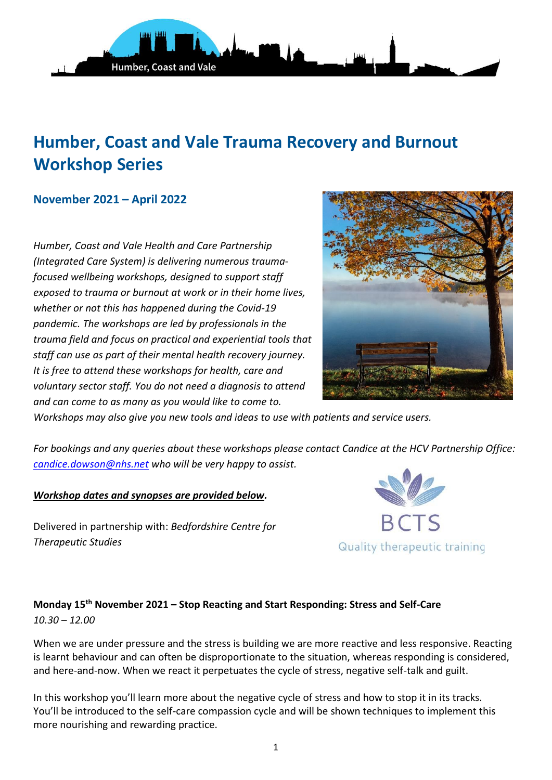

# **Humber, Coast and Vale Trauma Recovery and Burnout Workshop Series**

## **November 2021 – April 2022**

*Humber, Coast and Vale Health and Care Partnership (Integrated Care System) is delivering numerous traumafocused wellbeing workshops, designed to support staff exposed to trauma or burnout at work or in their home lives, whether or not this has happened during the Covid-19 pandemic. The workshops are led by professionals in the trauma field and focus on practical and experiential tools that staff can use as part of their mental health recovery journey. It is free to attend these workshops for health, care and voluntary sector staff. You do not need a diagnosis to attend and can come to as many as you would like to come to.* 



*Workshops may also give you new tools and ideas to use with patients and service users.*

*For bookings and any queries about these workshops please contact Candice at the HCV Partnership Office: [candice.dowson@nhs.net](mailto:candice.dowson@nhs.net) who will be very happy to assist.*

#### *Workshop dates and synopses are provided below.*

Delivered in partnership with: *Bedfordshire Centre for Therapeutic Studies*



## **Monday 15th November 2021 – Stop Reacting and Start Responding: Stress and Self-Care** *10.30 – 12.00*

When we are under pressure and the stress is building we are more reactive and less responsive. Reacting is learnt behaviour and can often be disproportionate to the situation, whereas responding is considered, and here-and-now. When we react it perpetuates the cycle of stress, negative self-talk and guilt.

In this workshop you'll learn more about the negative cycle of stress and how to stop it in its tracks. You'll be introduced to the self-care compassion cycle and will be shown techniques to implement this more nourishing and rewarding practice.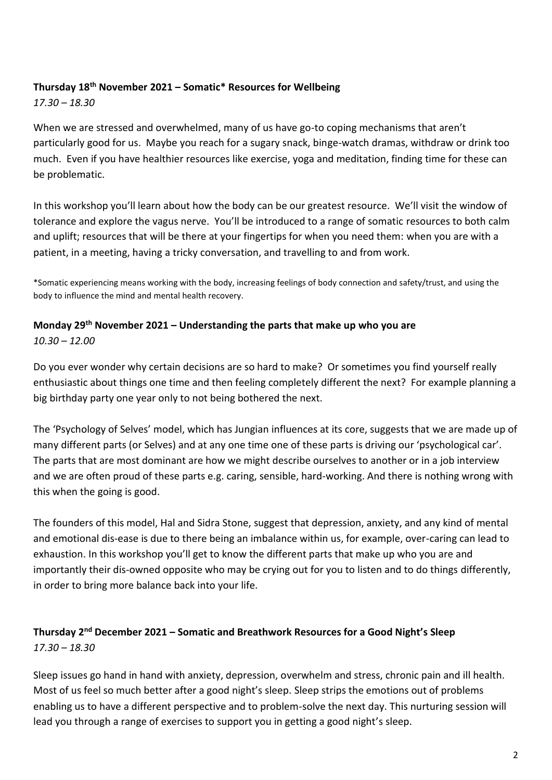# **Thursday 18th November 2021 – Somatic\* Resources for Wellbeing**

*17.30 – 18.30*

When we are stressed and overwhelmed, many of us have go-to coping mechanisms that aren't particularly good for us. Maybe you reach for a sugary snack, binge-watch dramas, withdraw or drink too much. Even if you have healthier resources like exercise, yoga and meditation, finding time for these can be problematic.

In this workshop you'll learn about how the body can be our greatest resource. We'll visit the window of tolerance and explore the vagus nerve. You'll be introduced to a range of somatic resources to both calm and uplift; resources that will be there at your fingertips for when you need them: when you are with a patient, in a meeting, having a tricky conversation, and travelling to and from work.

\*Somatic experiencing means working with the body, increasing feelings of body connection and safety/trust, and using the body to influence the mind and mental health recovery.

## **Monday 29th November 2021 – Understanding the parts that make up who you are** *10.30 – 12.00*

Do you ever wonder why certain decisions are so hard to make? Or sometimes you find yourself really enthusiastic about things one time and then feeling completely different the next? For example planning a big birthday party one year only to not being bothered the next.

The 'Psychology of Selves' model, which has Jungian influences at its core, suggests that we are made up of many different parts (or Selves) and at any one time one of these parts is driving our 'psychological car'. The parts that are most dominant are how we might describe ourselves to another or in a job interview and we are often proud of these parts e.g. caring, sensible, hard-working. And there is nothing wrong with this when the going is good.

The founders of this model, Hal and Sidra Stone, suggest that depression, anxiety, and any kind of mental and emotional dis-ease is due to there being an imbalance within us, for example, over-caring can lead to exhaustion. In this workshop you'll get to know the different parts that make up who you are and importantly their dis-owned opposite who may be crying out for you to listen and to do things differently, in order to bring more balance back into your life.

# **Thursday 2nd December 2021 – Somatic and Breathwork Resources for a Good Night's Sleep** *17.30 – 18.30*

Sleep issues go hand in hand with anxiety, depression, overwhelm and stress, chronic pain and ill health. Most of us feel so much better after a good night's sleep. Sleep strips the emotions out of problems enabling us to have a different perspective and to problem-solve the next day. This nurturing session will lead you through a range of exercises to support you in getting a good night's sleep.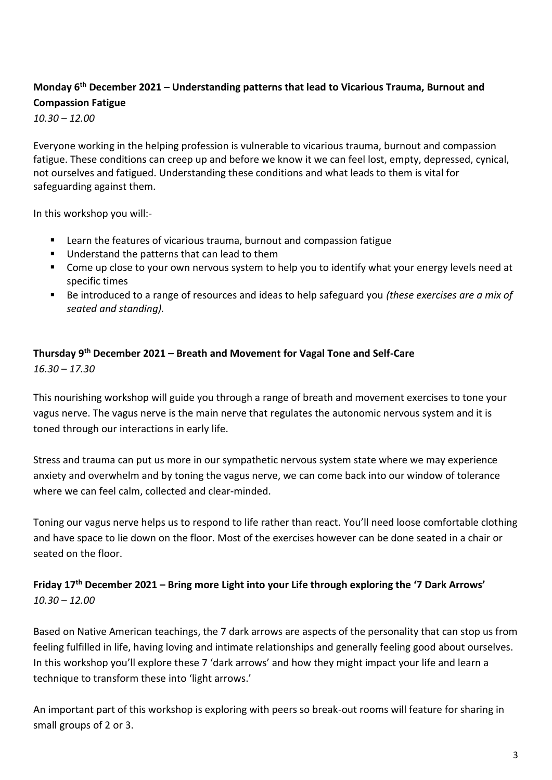# **Monday 6th December 2021 – Understanding patterns that lead to Vicarious Trauma, Burnout and Compassion Fatigue**

*10.30 – 12.00*

Everyone working in the helping profession is vulnerable to vicarious trauma, burnout and compassion fatigue. These conditions can creep up and before we know it we can feel lost, empty, depressed, cynical, not ourselves and fatigued. Understanding these conditions and what leads to them is vital for safeguarding against them.

In this workshop you will:-

- Learn the features of vicarious trauma, burnout and compassion fatigue
- Understand the patterns that can lead to them
- Come up close to your own nervous system to help you to identify what your energy levels need at specific times
- Be introduced to a range of resources and ideas to help safeguard you *(these exercises are a mix of seated and standing).*

## **Thursday 9th December 2021 – Breath and Movement for Vagal Tone and Self-Care** *16.30 – 17.30*

This nourishing workshop will guide you through a range of breath and movement exercises to tone your vagus nerve. The vagus nerve is the main nerve that regulates the autonomic nervous system and it is toned through our interactions in early life.

Stress and trauma can put us more in our sympathetic nervous system state where we may experience anxiety and overwhelm and by toning the vagus nerve, we can come back into our window of tolerance where we can feel calm, collected and clear-minded.

Toning our vagus nerve helps us to respond to life rather than react. You'll need loose comfortable clothing and have space to lie down on the floor. Most of the exercises however can be done seated in a chair or seated on the floor.

# **Friday 17th December 2021 – Bring more Light into your Life through exploring the '7 Dark Arrows'** *10.30 – 12.00*

Based on Native American teachings, the 7 dark arrows are aspects of the personality that can stop us from feeling fulfilled in life, having loving and intimate relationships and generally feeling good about ourselves. In this workshop you'll explore these 7 'dark arrows' and how they might impact your life and learn a technique to transform these into 'light arrows.'

An important part of this workshop is exploring with peers so break-out rooms will feature for sharing in small groups of 2 or 3.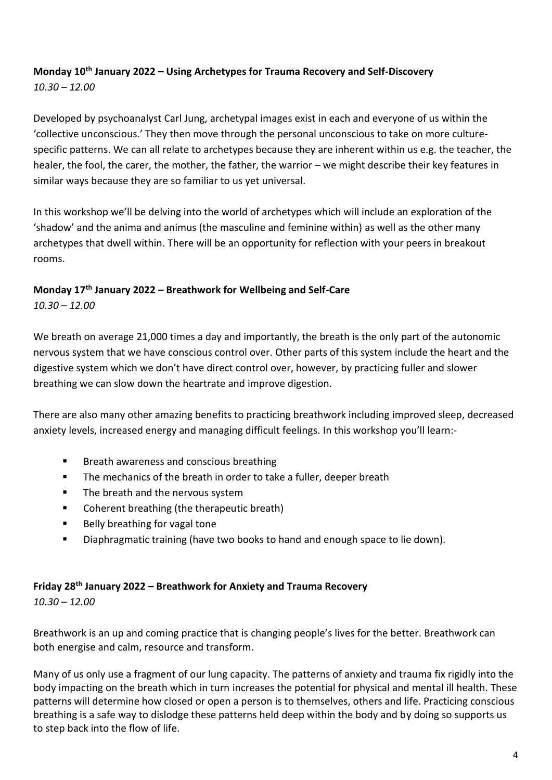# **Monday 10th January 2022 – Using Archetypes for Trauma Recovery and Self-Discovery** *10.30 – 12.00*

Developed by psychoanalyst Carl Jung, archetypal images exist in each and everyone of us within the 'collective unconscious.' They then move through the personal unconscious to take on more culturespecific patterns. We can all relate to archetypes because they are inherent within us e.g. the teacher, the healer, the fool, the carer, the mother, the father, the warrior – we might describe their key features in similar ways because they are so familiar to us yet universal.

In this workshop we'll be delving into the world of archetypes which will include an exploration of the 'shadow' and the anima and animus (the masculine and feminine within) as well as the other many archetypes that dwell within. There will be an opportunity for reflection with your peers in breakout rooms.

## **Monday 17th January 2022 – Breathwork for Wellbeing and Self-Care** *10.30 – 12.00*

We breath on average 21,000 times a day and importantly, the breath is the only part of the autonomic nervous system that we have conscious control over. Other parts of this system include the heart and the digestive system which we don't have direct control over, however, by practicing fuller and slower breathing we can slow down the heartrate and improve digestion.

There are also many other amazing benefits to practicing breathwork including improved sleep, decreased anxiety levels, increased energy and managing difficult feelings. In this workshop you'll learn:-

- Breath awareness and conscious breathing
- The mechanics of the breath in order to take a fuller, deeper breath
- The breath and the nervous system
- Coherent breathing (the therapeutic breath)
- Belly breathing for vagal tone
- Diaphragmatic training (have two books to hand and enough space to lie down).

## **Friday 28th January 2022 – Breathwork for Anxiety and Trauma Recovery**

*10.30 – 12.00*

Breathwork is an up and coming practice that is changing people's lives for the better. Breathwork can both energise and calm, resource and transform.

Many of us only use a fragment of our lung capacity. The patterns of anxiety and trauma fix rigidly into the body impacting on the breath which in turn increases the potential for physical and mental ill health. These patterns will determine how closed or open a person is to themselves, others and life. Practicing conscious breathing is a safe way to dislodge these patterns held deep within the body and by doing so supports us to step back into the flow of life.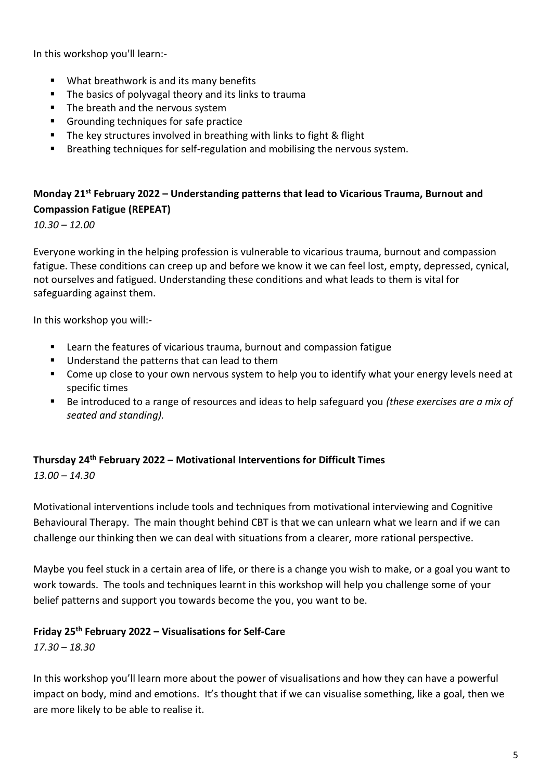In this workshop you'll learn:-

- What breathwork is and its many benefits
- The basics of polyvagal theory and its links to trauma
- The breath and the nervous system
- Grounding techniques for safe practice
- The key structures involved in breathing with links to fight & flight
- **EXECT** Breathing techniques for self-regulation and mobilising the nervous system.

# **Monday 21st February 2022 – Understanding patterns that lead to Vicarious Trauma, Burnout and Compassion Fatigue (REPEAT)**

*10.30 – 12.00*

Everyone working in the helping profession is vulnerable to vicarious trauma, burnout and compassion fatigue. These conditions can creep up and before we know it we can feel lost, empty, depressed, cynical, not ourselves and fatigued. Understanding these conditions and what leads to them is vital for safeguarding against them.

In this workshop you will:-

- Learn the features of vicarious trauma, burnout and compassion fatigue
- Understand the patterns that can lead to them
- Come up close to your own nervous system to help you to identify what your energy levels need at specific times
- Be introduced to a range of resources and ideas to help safeguard you *(these exercises are a mix of seated and standing).*

#### **Thursday 24th February 2022 – Motivational Interventions for Difficult Times**

*13.00 – 14.30*

Motivational interventions include tools and techniques from motivational interviewing and Cognitive Behavioural Therapy. The main thought behind CBT is that we can unlearn what we learn and if we can challenge our thinking then we can deal with situations from a clearer, more rational perspective.

Maybe you feel stuck in a certain area of life, or there is a change you wish to make, or a goal you want to work towards. The tools and techniques learnt in this workshop will help you challenge some of your belief patterns and support you towards become the you, you want to be.

## **Friday 25th February 2022 – Visualisations for Self-Care**

*17.30 – 18.30*

In this workshop you'll learn more about the power of visualisations and how they can have a powerful impact on body, mind and emotions. It's thought that if we can visualise something, like a goal, then we are more likely to be able to realise it.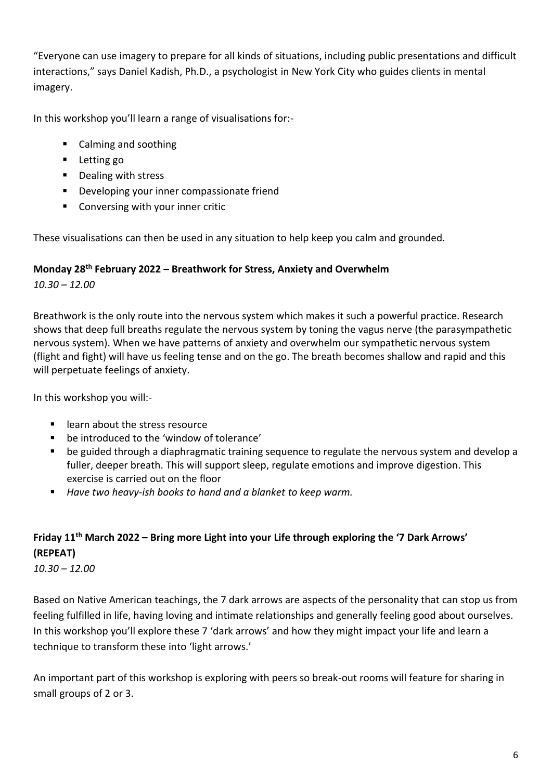"Everyone can use imagery to prepare for all kinds of situations, including public presentations and difficult interactions," says Daniel Kadish, Ph.D., a psychologist in New York City who guides clients in mental imagery.

In this workshop you'll learn a range of visualisations for:-

- Calming and soothing
- Letting go
- Dealing with stress
- Developing your inner compassionate friend
- Conversing with your inner critic

These visualisations can then be used in any situation to help keep you calm and grounded.

### **Monday 28th February 2022 – Breathwork for Stress, Anxiety and Overwhelm**

*10.30 – 12.00*

Breathwork is the only route into the nervous system which makes it such a powerful practice. Research shows that deep full breaths regulate the nervous system by toning the vagus nerve (the parasympathetic nervous system). When we have patterns of anxiety and overwhelm our sympathetic nervous system (flight and fight) will have us feeling tense and on the go. The breath becomes shallow and rapid and this will perpetuate feelings of anxiety.

In this workshop you will:-

- learn about the stress resource
- be introduced to the 'window of tolerance'
- be guided through a diaphragmatic training sequence to regulate the nervous system and develop a fuller, deeper breath. This will support sleep, regulate emotions and improve digestion. This exercise is carried out on the floor
- *Have two heavy-ish books to hand and a blanket to keep warm.*

# **Friday 11th March 2022 – Bring more Light into your Life through exploring the '7 Dark Arrows' (REPEAT)**

*10.30 – 12.00*

Based on Native American teachings, the 7 dark arrows are aspects of the personality that can stop us from feeling fulfilled in life, having loving and intimate relationships and generally feeling good about ourselves. In this workshop you'll explore these 7 'dark arrows' and how they might impact your life and learn a technique to transform these into 'light arrows.'

An important part of this workshop is exploring with peers so break-out rooms will feature for sharing in small groups of 2 or 3.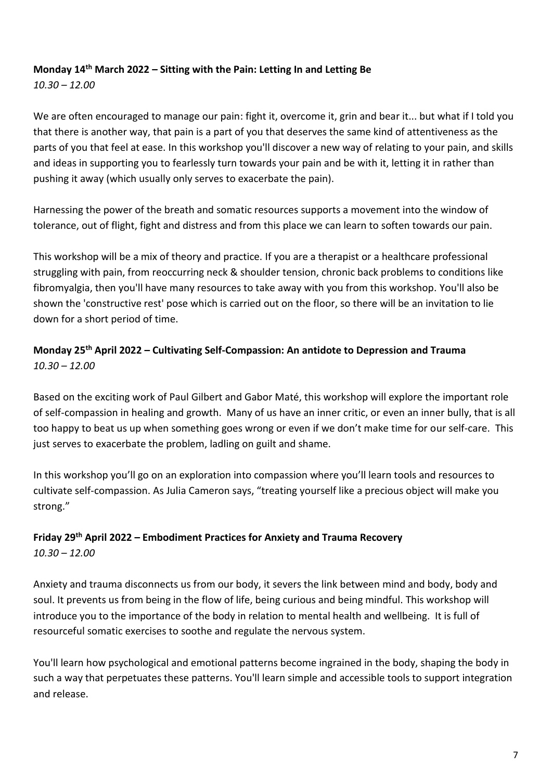## **Monday 14th March 2022 – Sitting with the Pain: Letting In and Letting Be**

*10.30 – 12.00*

We are often encouraged to manage our pain: fight it, overcome it, grin and bear it... but what if I told you that there is another way, that pain is a part of you that deserves the same kind of attentiveness as the parts of you that feel at ease. In this workshop you'll discover a new way of relating to your pain, and skills and ideas in supporting you to fearlessly turn towards your pain and be with it, letting it in rather than pushing it away (which usually only serves to exacerbate the pain).

Harnessing the power of the breath and somatic resources supports a movement into the window of tolerance, out of flight, fight and distress and from this place we can learn to soften towards our pain.

This workshop will be a mix of theory and practice. If you are a therapist or a healthcare professional struggling with pain, from reoccurring neck & shoulder tension, chronic back problems to conditions like fibromyalgia, then you'll have many resources to take away with you from this workshop. You'll also be shown the 'constructive rest' pose which is carried out on the floor, so there will be an invitation to lie down for a short period of time.

# **Monday 25th April 2022 – Cultivating Self-Compassion: An antidote to Depression and Trauma** *10.30 – 12.00*

Based on the exciting work of Paul Gilbert and Gabor Maté, this workshop will explore the important role of self-compassion in healing and growth. Many of us have an inner critic, or even an inner bully, that is all too happy to beat us up when something goes wrong or even if we don't make time for our self-care. This just serves to exacerbate the problem, ladling on guilt and shame.

In this workshop you'll go on an exploration into compassion where you'll learn tools and resources to cultivate self-compassion. As Julia Cameron says, "treating yourself like a precious object will make you strong."

#### **Friday 29th April 2022 – Embodiment Practices for Anxiety and Trauma Recovery** *10.30 – 12.00*

Anxiety and trauma disconnects us from our body, it severs the link between mind and body, body and soul. It prevents us from being in the flow of life, being curious and being mindful. This workshop will introduce you to the importance of the body in relation to mental health and wellbeing. It is full of resourceful somatic exercises to soothe and regulate the nervous system.

You'll learn how psychological and emotional patterns become ingrained in the body, shaping the body in such a way that perpetuates these patterns. You'll learn simple and accessible tools to support integration and release.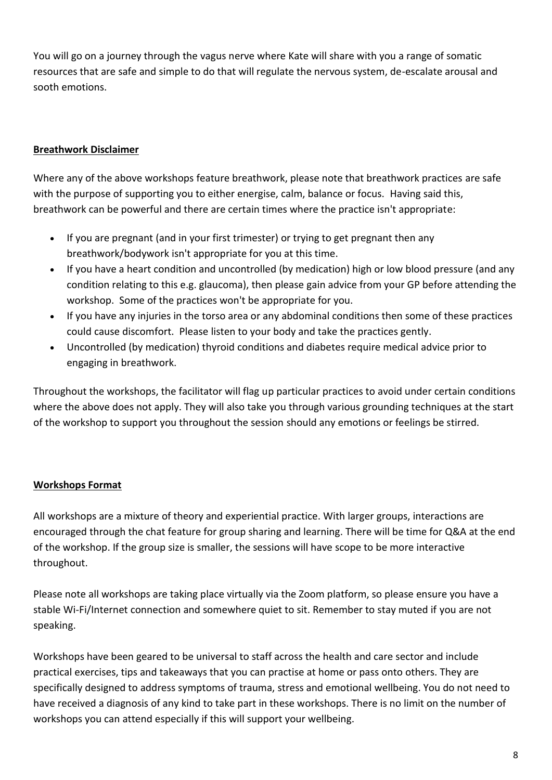You will go on a journey through the vagus nerve where Kate will share with you a range of somatic resources that are safe and simple to do that will regulate the nervous system, de-escalate arousal and sooth emotions.

### **Breathwork Disclaimer**

Where any of the above workshops feature breathwork, please note that breathwork practices are safe with the purpose of supporting you to either energise, calm, balance or focus. Having said this, breathwork can be powerful and there are certain times where the practice isn't appropriate:

- If you are pregnant (and in your first trimester) or trying to get pregnant then any breathwork/bodywork isn't appropriate for you at this time.
- If you have a heart condition and uncontrolled (by medication) high or low blood pressure (and any condition relating to this e.g. glaucoma), then please gain advice from your GP before attending the workshop. Some of the practices won't be appropriate for you.
- If you have any injuries in the torso area or any abdominal conditions then some of these practices could cause discomfort. Please listen to your body and take the practices gently.
- Uncontrolled (by medication) thyroid conditions and diabetes require medical advice prior to engaging in breathwork.

Throughout the workshops, the facilitator will flag up particular practices to avoid under certain conditions where the above does not apply. They will also take you through various grounding techniques at the start of the workshop to support you throughout the session should any emotions or feelings be stirred.

#### **Workshops Format**

All workshops are a mixture of theory and experiential practice. With larger groups, interactions are encouraged through the chat feature for group sharing and learning. There will be time for Q&A at the end of the workshop. If the group size is smaller, the sessions will have scope to be more interactive throughout.

Please note all workshops are taking place virtually via the Zoom platform, so please ensure you have a stable Wi-Fi/Internet connection and somewhere quiet to sit. Remember to stay muted if you are not speaking.

Workshops have been geared to be universal to staff across the health and care sector and include practical exercises, tips and takeaways that you can practise at home or pass onto others. They are specifically designed to address symptoms of trauma, stress and emotional wellbeing. You do not need to have received a diagnosis of any kind to take part in these workshops. There is no limit on the number of workshops you can attend especially if this will support your wellbeing.